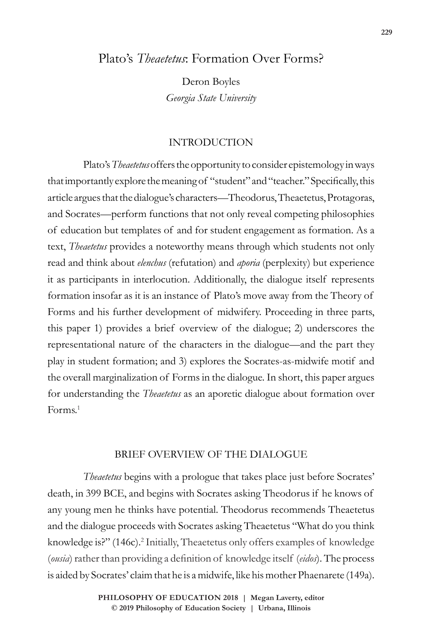# Plato's *Theaetetus*: Formation Over Forms?

Deron Boyles *Georgia State University*

# INTRODUCTION

Plato's *Theaetetus* offers the opportunity to consider epistemology in ways that importantly explore the meaning of "student" and "teacher." Specifically, this article argues that the dialogue's characters—Theodorus, Theaetetus, Protagoras, and Socrates—perform functions that not only reveal competing philosophies of education but templates of and for student engagement as formation. As a text, *Theaetetus* provides a noteworthy means through which students not only read and think about *elenchus* (refutation) and *aporia* (perplexity) but experience it as participants in interlocution. Additionally, the dialogue itself represents formation insofar as it is an instance of Plato's move away from the Theory of Forms and his further development of midwifery. Proceeding in three parts, this paper 1) provides a brief overview of the dialogue; 2) underscores the representational nature of the characters in the dialogue—and the part they play in student formation; and 3) explores the Socrates-as-midwife motif and the overall marginalization of Forms in the dialogue. In short, this paper argues for understanding the *Theaetetus* as an aporetic dialogue about formation over Forms.1

### BRIEF OVERVIEW OF THE DIALOGUE

*Theaetetus* begins with a prologue that takes place just before Socrates' death, in 399 BCE, and begins with Socrates asking Theodorus if he knows of any young men he thinks have potential. Theodorus recommends Theaetetus and the dialogue proceeds with Socrates asking Theaetetus "What do you think knowledge is?" (146c).<sup>2</sup> Initially, Theaetetus only offers examples of knowledge (*ousia*) rather than providing a definition of knowledge itself (*eidos*). The process is aided by Socrates' claim that he is a midwife, like his mother Phaenarete (149a).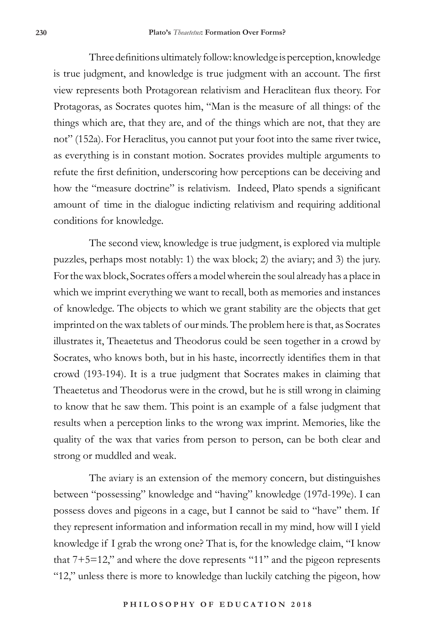Three definitions ultimately follow: knowledge is perception, knowledge is true judgment, and knowledge is true judgment with an account. The first view represents both Protagorean relativism and Heraclitean flux theory. For Protagoras, as Socrates quotes him, "Man is the measure of all things: of the things which are, that they are, and of the things which are not, that they are not" (152a). For Heraclitus, you cannot put your foot into the same river twice, as everything is in constant motion. Socrates provides multiple arguments to refute the first definition, underscoring how perceptions can be deceiving and how the "measure doctrine" is relativism. Indeed, Plato spends a significant amount of time in the dialogue indicting relativism and requiring additional conditions for knowledge.

The second view, knowledge is true judgment, is explored via multiple puzzles, perhaps most notably: 1) the wax block; 2) the aviary; and 3) the jury. For the wax block, Socrates offers a model wherein the soul already has a place in which we imprint everything we want to recall, both as memories and instances of knowledge. The objects to which we grant stability are the objects that get imprinted on the wax tablets of our minds. The problem here is that, as Socrates illustrates it, Theaetetus and Theodorus could be seen together in a crowd by Socrates, who knows both, but in his haste, incorrectly identifies them in that crowd (193-194). It is a true judgment that Socrates makes in claiming that Theaetetus and Theodorus were in the crowd, but he is still wrong in claiming to know that he saw them. This point is an example of a false judgment that results when a perception links to the wrong wax imprint. Memories, like the quality of the wax that varies from person to person, can be both clear and strong or muddled and weak.

The aviary is an extension of the memory concern, but distinguishes between "possessing" knowledge and "having" knowledge (197d-199e). I can possess doves and pigeons in a cage, but I cannot be said to "have" them. If they represent information and information recall in my mind, how will I yield knowledge if I grab the wrong one? That is, for the knowledge claim, "I know that 7+5=12," and where the dove represents "11" and the pigeon represents "12," unless there is more to knowledge than luckily catching the pigeon, how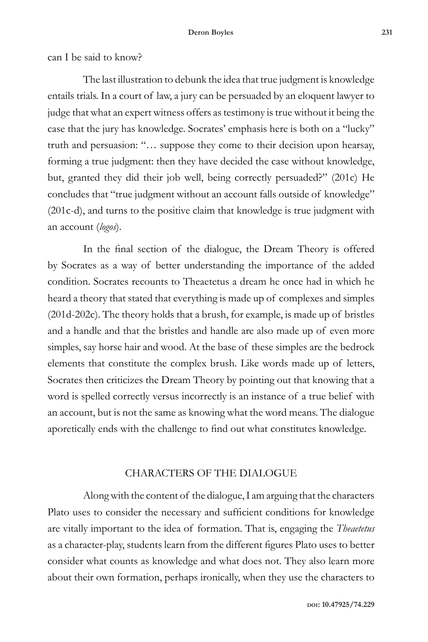can I be said to know?

The last illustration to debunk the idea that true judgment is knowledge entails trials. In a court of law, a jury can be persuaded by an eloquent lawyer to judge that what an expert witness offers as testimony is true without it being the case that the jury has knowledge. Socrates' emphasis here is both on a "lucky" truth and persuasion: "… suppose they come to their decision upon hearsay, forming a true judgment: then they have decided the case without knowledge, but, granted they did their job well, being correctly persuaded?" (201c) He concludes that "true judgment without an account falls outside of knowledge" (201c-d), and turns to the positive claim that knowledge is true judgment with an account (*logos*).

In the final section of the dialogue, the Dream Theory is offered by Socrates as a way of better understanding the importance of the added condition. Socrates recounts to Theaetetus a dream he once had in which he heard a theory that stated that everything is made up of complexes and simples (201d-202c). The theory holds that a brush, for example, is made up of bristles and a handle and that the bristles and handle are also made up of even more simples, say horse hair and wood. At the base of these simples are the bedrock elements that constitute the complex brush. Like words made up of letters, Socrates then criticizes the Dream Theory by pointing out that knowing that a word is spelled correctly versus incorrectly is an instance of a true belief with an account, but is not the same as knowing what the word means. The dialogue aporetically ends with the challenge to find out what constitutes knowledge.

## CHARACTERS OF THE DIALOGUE

Along with the content of the dialogue, I am arguing that the characters Plato uses to consider the necessary and sufficient conditions for knowledge are vitally important to the idea of formation. That is, engaging the *Theaetetus* as a character-play, students learn from the different figures Plato uses to better consider what counts as knowledge and what does not. They also learn more about their own formation, perhaps ironically, when they use the characters to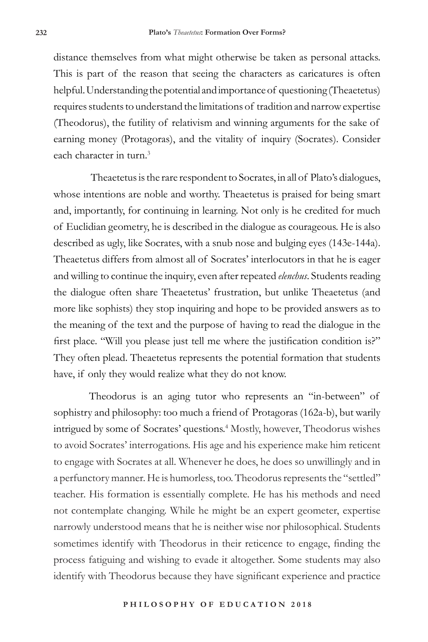distance themselves from what might otherwise be taken as personal attacks. This is part of the reason that seeing the characters as caricatures is often helpful. Understanding the potential and importance of questioning (Theaetetus) requires students to understand the limitations of tradition and narrow expertise (Theodorus), the futility of relativism and winning arguments for the sake of earning money (Protagoras), and the vitality of inquiry (Socrates). Consider each character in turn.<sup>3</sup>

 Theaetetus is the rare respondent to Socrates, in all of Plato's dialogues, whose intentions are noble and worthy. Theaetetus is praised for being smart and, importantly, for continuing in learning. Not only is he credited for much of Euclidian geometry, he is described in the dialogue as courageous. He is also described as ugly, like Socrates, with a snub nose and bulging eyes (143e-144a). Theaetetus differs from almost all of Socrates' interlocutors in that he is eager and willing to continue the inquiry, even after repeated *elenchus*. Students reading the dialogue often share Theaetetus' frustration, but unlike Theaetetus (and more like sophists) they stop inquiring and hope to be provided answers as to the meaning of the text and the purpose of having to read the dialogue in the first place. "Will you please just tell me where the justification condition is?" They often plead. Theaetetus represents the potential formation that students have, if only they would realize what they do not know.

Theodorus is an aging tutor who represents an "in-between" of sophistry and philosophy: too much a friend of Protagoras (162a-b), but warily intrigued by some of Socrates' questions.<sup>4</sup> Mostly, however, Theodorus wishes to avoid Socrates' interrogations. His age and his experience make him reticent to engage with Socrates at all. Whenever he does, he does so unwillingly and in a perfunctory manner. He is humorless, too. Theodorus represents the "settled" teacher. His formation is essentially complete. He has his methods and need not contemplate changing. While he might be an expert geometer, expertise narrowly understood means that he is neither wise nor philosophical. Students sometimes identify with Theodorus in their reticence to engage, finding the process fatiguing and wishing to evade it altogether. Some students may also identify with Theodorus because they have significant experience and practice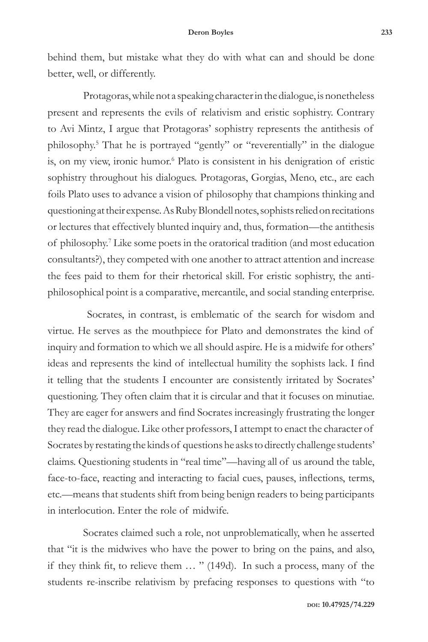behind them, but mistake what they do with what can and should be done better, well, or differently.

Protagoras, while not a speaking character in the dialogue, is nonetheless present and represents the evils of relativism and eristic sophistry. Contrary to Avi Mintz, I argue that Protagoras' sophistry represents the antithesis of philosophy.5 That he is portrayed "gently" or "reverentially" in the dialogue is, on my view, ironic humor.<sup>6</sup> Plato is consistent in his denigration of eristic sophistry throughout his dialogues. Protagoras, Gorgias, Meno, etc., are each foils Plato uses to advance a vision of philosophy that champions thinking and questioning at their expense. As Ruby Blondell notes, sophists relied on recitations or lectures that effectively blunted inquiry and, thus, formation—the antithesis of philosophy.<sup>7</sup> Like some poets in the oratorical tradition (and most education consultants?), they competed with one another to attract attention and increase the fees paid to them for their rhetorical skill. For eristic sophistry, the antiphilosophical point is a comparative, mercantile, and social standing enterprise.

 Socrates, in contrast, is emblematic of the search for wisdom and virtue. He serves as the mouthpiece for Plato and demonstrates the kind of inquiry and formation to which we all should aspire. He is a midwife for others' ideas and represents the kind of intellectual humility the sophists lack. I find it telling that the students I encounter are consistently irritated by Socrates' questioning. They often claim that it is circular and that it focuses on minutiae. They are eager for answers and find Socrates increasingly frustrating the longer they read the dialogue. Like other professors, I attempt to enact the character of Socrates by restating the kinds of questions he asks to directly challenge students' claims. Questioning students in "real time"—having all of us around the table, face-to-face, reacting and interacting to facial cues, pauses, inflections, terms, etc.—means that students shift from being benign readers to being participants in interlocution. Enter the role of midwife.

Socrates claimed such a role, not unproblematically, when he asserted that "it is the midwives who have the power to bring on the pains, and also, if they think fit, to relieve them … " (149d). In such a process, many of the students re-inscribe relativism by prefacing responses to questions with "to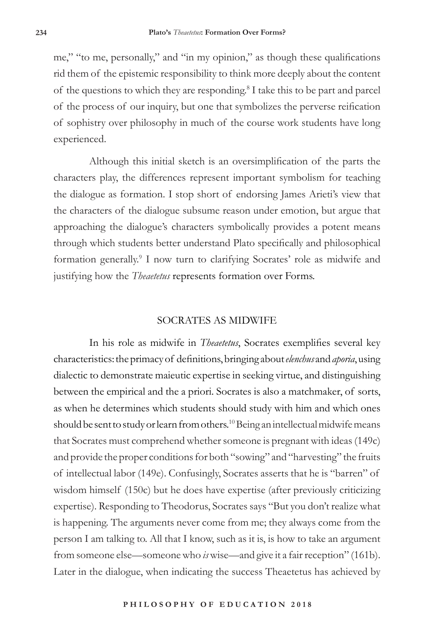me," "to me, personally," and "in my opinion," as though these qualifications rid them of the epistemic responsibility to think more deeply about the content of the questions to which they are responding.<sup>8</sup> I take this to be part and parcel of the process of our inquiry, but one that symbolizes the perverse reification of sophistry over philosophy in much of the course work students have long experienced.

Although this initial sketch is an oversimplification of the parts the characters play, the differences represent important symbolism for teaching the dialogue as formation. I stop short of endorsing James Arieti's view that the characters of the dialogue subsume reason under emotion, but argue that approaching the dialogue's characters symbolically provides a potent means through which students better understand Plato specifically and philosophical formation generally.<sup>9</sup> I now turn to clarifying Socrates' role as midwife and justifying how the *Theaetetus* represents formation over Forms.

# SOCRATES AS MIDWIFE

In his role as midwife in *Theaetetus*, Socrates exemplifies several key characteristics: the primacy of definitions, bringing about *elenchus* and *aporia*, using dialectic to demonstrate maieutic expertise in seeking virtue, and distinguishing between the empirical and the a priori. Socrates is also a matchmaker, of sorts, as when he determines which students should study with him and which ones should be sent to study or learn from others.<sup>10</sup> Being an intellectual midwife means that Socrates must comprehend whether someone is pregnant with ideas (149c) and provide the proper conditions for both "sowing" and "harvesting" the fruits of intellectual labor (149e). Confusingly, Socrates asserts that he is "barren" of wisdom himself (150c) but he does have expertise (after previously criticizing expertise). Responding to Theodorus, Socrates says "But you don't realize what is happening. The arguments never come from me; they always come from the person I am talking to. All that I know, such as it is, is how to take an argument from someone else—someone who *is* wise—and give it a fair reception" (161b). Later in the dialogue, when indicating the success Theaetetus has achieved by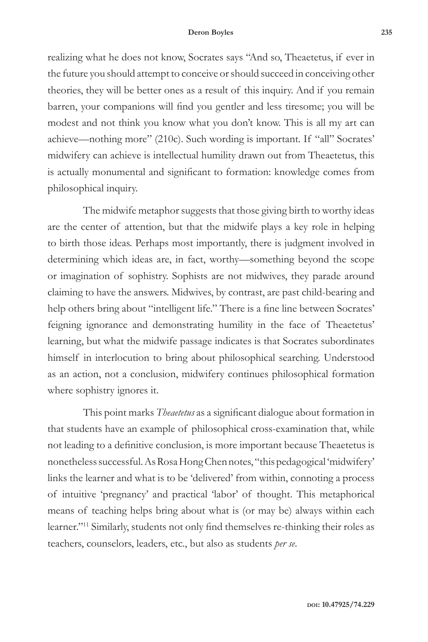#### **Deron Boyles 235**

realizing what he does not know, Socrates says "And so, Theaetetus, if ever in the future you should attempt to conceive or should succeed in conceiving other theories, they will be better ones as a result of this inquiry. And if you remain barren, your companions will find you gentler and less tiresome; you will be modest and not think you know what you don't know. This is all my art can achieve—nothing more" (210c). Such wording is important. If "all" Socrates' midwifery can achieve is intellectual humility drawn out from Theaetetus, this is actually monumental and significant to formation: knowledge comes from philosophical inquiry.

The midwife metaphor suggests that those giving birth to worthy ideas are the center of attention, but that the midwife plays a key role in helping to birth those ideas. Perhaps most importantly, there is judgment involved in determining which ideas are, in fact, worthy—something beyond the scope or imagination of sophistry. Sophists are not midwives, they parade around claiming to have the answers. Midwives, by contrast, are past child-bearing and help others bring about "intelligent life." There is a fine line between Socrates' feigning ignorance and demonstrating humility in the face of Theaetetus' learning, but what the midwife passage indicates is that Socrates subordinates himself in interlocution to bring about philosophical searching. Understood as an action, not a conclusion, midwifery continues philosophical formation where sophistry ignores it.

This point marks *Theaetetus* as a significant dialogue about formation in that students have an example of philosophical cross-examination that, while not leading to a definitive conclusion, is more important because Theaetetus is nonetheless successful. As Rosa Hong Chen notes, "this pedagogical 'midwifery' links the learner and what is to be 'delivered' from within, connoting a process of intuitive 'pregnancy' and practical 'labor' of thought. This metaphorical means of teaching helps bring about what is (or may be) always within each learner."11 Similarly, students not only find themselves re-thinking their roles as teachers, counselors, leaders, etc., but also as students *per se*.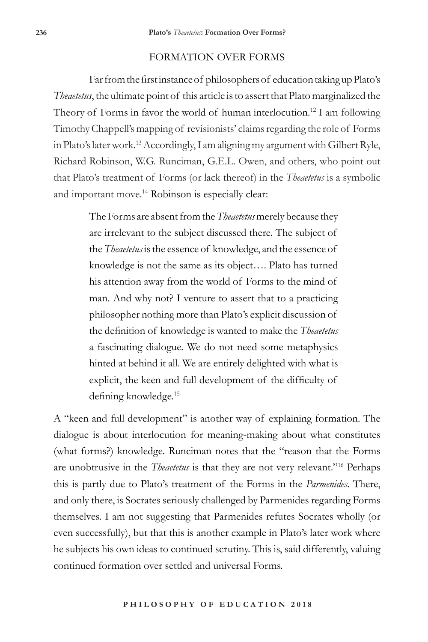### FORMATION OVER FORMS

Far from the first instance of philosophers of education taking up Plato's *Theaetetus*, the ultimate point of this article is to assert that Plato marginalized the Theory of Forms in favor the world of human interlocution.<sup>12</sup> I am following Timothy Chappell's mapping of revisionists' claims regarding the role of Forms in Plato's later work.13 Accordingly, I am aligning my argument with Gilbert Ryle, Richard Robinson, W.G. Runciman, G.E.L. Owen, and others, who point out that Plato's treatment of Forms (or lack thereof) in the *Theaetetus* is a symbolic and important move.<sup>14</sup> Robinson is especially clear:

> The Forms are absent from the *Theaetetus* merely because they are irrelevant to the subject discussed there. The subject of the *Theaetetus* is the essence of knowledge, and the essence of knowledge is not the same as its object…. Plato has turned his attention away from the world of Forms to the mind of man. And why not? I venture to assert that to a practicing philosopher nothing more than Plato's explicit discussion of the definition of knowledge is wanted to make the *Theaetetus* a fascinating dialogue. We do not need some metaphysics hinted at behind it all. We are entirely delighted with what is explicit, the keen and full development of the difficulty of defining knowledge.<sup>15</sup>

A "keen and full development" is another way of explaining formation. The dialogue is about interlocution for meaning-making about what constitutes (what forms?) knowledge. Runciman notes that the "reason that the Forms are unobtrusive in the *Theaetetus* is that they are not very relevant."16 Perhaps this is partly due to Plato's treatment of the Forms in the *Parmenides*. There, and only there, is Socrates seriously challenged by Parmenides regarding Forms themselves. I am not suggesting that Parmenides refutes Socrates wholly (or even successfully), but that this is another example in Plato's later work where he subjects his own ideas to continued scrutiny. This is, said differently, valuing continued formation over settled and universal Forms.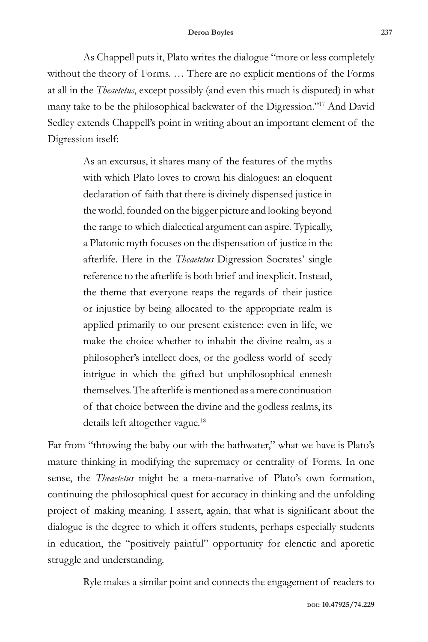As Chappell puts it, Plato writes the dialogue "more or less completely without the theory of Forms. … There are no explicit mentions of the Forms at all in the *Theaetetus*, except possibly (and even this much is disputed) in what many take to be the philosophical backwater of the Digression."<sup>17</sup> And David Sedley extends Chappell's point in writing about an important element of the Digression itself:

> As an excursus, it shares many of the features of the myths with which Plato loves to crown his dialogues: an eloquent declaration of faith that there is divinely dispensed justice in the world, founded on the bigger picture and looking beyond the range to which dialectical argument can aspire. Typically, a Platonic myth focuses on the dispensation of justice in the afterlife. Here in the *Theaetetus* Digression Socrates' single reference to the afterlife is both brief and inexplicit. Instead, the theme that everyone reaps the regards of their justice or injustice by being allocated to the appropriate realm is applied primarily to our present existence: even in life, we make the choice whether to inhabit the divine realm, as a philosopher's intellect does, or the godless world of seedy intrigue in which the gifted but unphilosophical enmesh themselves. The afterlife is mentioned as a mere continuation of that choice between the divine and the godless realms, its details left altogether vague.18

Far from "throwing the baby out with the bathwater," what we have is Plato's mature thinking in modifying the supremacy or centrality of Forms. In one sense, the *Theaetetus* might be a meta-narrative of Plato's own formation, continuing the philosophical quest for accuracy in thinking and the unfolding project of making meaning. I assert, again, that what is significant about the dialogue is the degree to which it offers students, perhaps especially students in education, the "positively painful" opportunity for elenctic and aporetic struggle and understanding.

Ryle makes a similar point and connects the engagement of readers to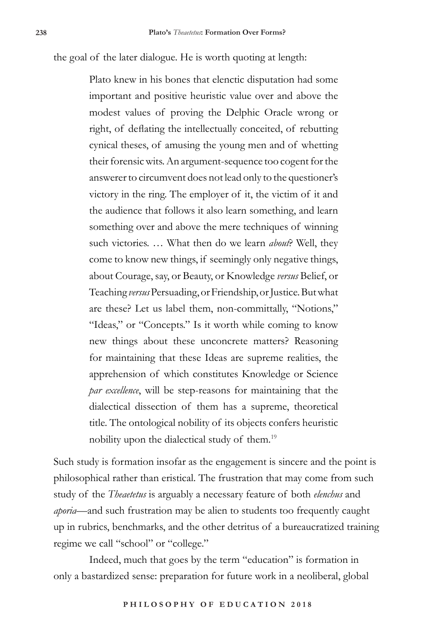the goal of the later dialogue. He is worth quoting at length:

Plato knew in his bones that elenctic disputation had some important and positive heuristic value over and above the modest values of proving the Delphic Oracle wrong or right, of deflating the intellectually conceited, of rebutting cynical theses, of amusing the young men and of whetting their forensic wits. An argument-sequence too cogent for the answerer to circumvent does not lead only to the questioner's victory in the ring. The employer of it, the victim of it and the audience that follows it also learn something, and learn something over and above the mere techniques of winning such victories. … What then do we learn *about*? Well, they come to know new things, if seemingly only negative things, about Courage, say, or Beauty, or Knowledge *versus* Belief, or Teaching *versus* Persuading, or Friendship, or Justice. But what are these? Let us label them, non-committally, "Notions," "Ideas," or "Concepts." Is it worth while coming to know new things about these unconcrete matters? Reasoning for maintaining that these Ideas are supreme realities, the apprehension of which constitutes Knowledge or Science *par excellence*, will be step-reasons for maintaining that the dialectical dissection of them has a supreme, theoretical title. The ontological nobility of its objects confers heuristic nobility upon the dialectical study of them.<sup>19</sup>

Such study is formation insofar as the engagement is sincere and the point is philosophical rather than eristical. The frustration that may come from such study of the *Theaetetus* is arguably a necessary feature of both *elenchus* and *aporia*—and such frustration may be alien to students too frequently caught up in rubrics, benchmarks, and the other detritus of a bureaucratized training regime we call "school" or "college."

Indeed, much that goes by the term "education" is formation in only a bastardized sense: preparation for future work in a neoliberal, global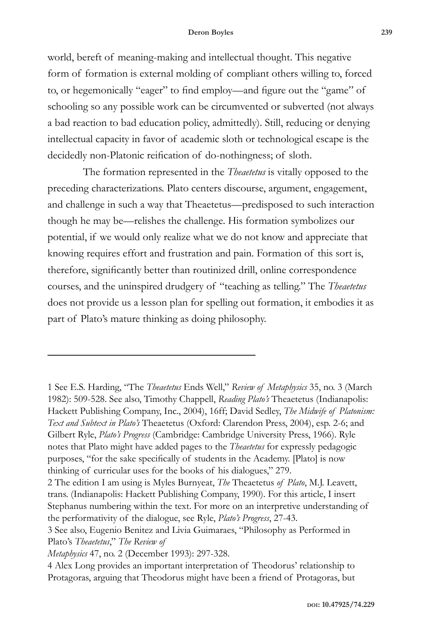#### **Deron Boyles 239**

world, bereft of meaning-making and intellectual thought. This negative form of formation is external molding of compliant others willing to, forced to, or hegemonically "eager" to find employ—and figure out the "game" of schooling so any possible work can be circumvented or subverted (not always a bad reaction to bad education policy, admittedly). Still, reducing or denying intellectual capacity in favor of academic sloth or technological escape is the decidedly non-Platonic reification of do-nothingness; of sloth.

The formation represented in the *Theaetetus* is vitally opposed to the preceding characterizations. Plato centers discourse, argument, engagement, and challenge in such a way that Theaetetus—predisposed to such interaction though he may be—relishes the challenge. His formation symbolizes our potential, if we would only realize what we do not know and appreciate that knowing requires effort and frustration and pain. Formation of this sort is, therefore, significantly better than routinized drill, online correspondence courses, and the uninspired drudgery of "teaching as telling." The *Theaetetus* does not provide us a lesson plan for spelling out formation, it embodies it as part of Plato's mature thinking as doing philosophy.

<sup>1</sup> See E.S. Harding, "The *Theaetetus* Ends Well," *Review of Metaphysics* 35, no. 3 (March 1982): 509-528. See also, Timothy Chappell, *Reading Plato's* Theaetetus (Indianapolis: Hackett Publishing Company, Inc., 2004), 16ff; David Sedley, *The Midwife of Platonism: Text and Subtext in Plato's* Theaetetus (Oxford: Clarendon Press, 2004), esp. 2-6; and Gilbert Ryle, *Plato's Progress* (Cambridge: Cambridge University Press, 1966). Ryle notes that Plato might have added pages to the *Theaetetus* for expressly pedagogic purposes, "for the sake specifically of students in the Academy. [Plato] is now thinking of curricular uses for the books of his dialogues," 279.

<sup>2</sup> The edition I am using is Myles Burnyeat, *The* Theaetetus *of Plato*, M.J. Leavett, trans. (Indianapolis: Hackett Publishing Company, 1990). For this article, I insert Stephanus numbering within the text. For more on an interpretive understanding of the performativity of the dialogue, see Ryle, *Plato's Progress*, 27-43.

<sup>3</sup> See also, Eugenio Benitez and Livia Guimaraes, "Philosophy as Performed in Plato's *Theaetetus*," *The Review of* 

*Metaphysics* 47, no. 2 (December 1993): 297-328.

<sup>4</sup> Alex Long provides an important interpretation of Theodorus' relationship to Protagoras, arguing that Theodorus might have been a friend of Protagoras, but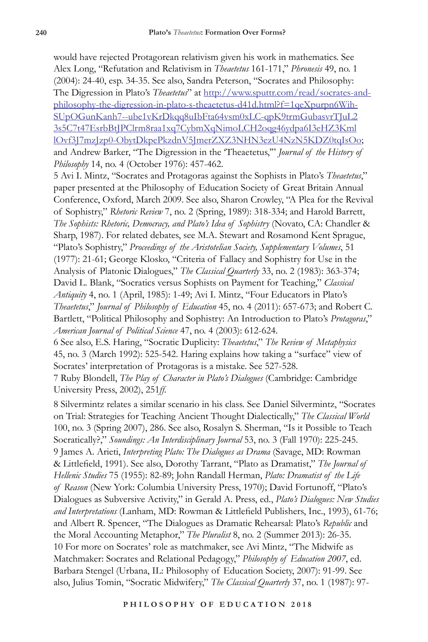would have rejected Protagorean relativism given his work in mathematics. See Alex Long, "Refutation and Relativism in *Theaetetus* 161-171," *Phronesis* 49, no. 1 (2004): 24-40, esp. 34-35. See also, Sandra Peterson, "Socrates and Philosophy: The Digression in Plato's *Theaetetus*" at http://www.sputtr.com/read/socrates-andphilosophy-the-digression-in-plato-s-theaetetus-d41d.html?f=1qeXpurpn6Wih-SUpOGunKanh7--ube1vKrDkqq8uIbFta64vsm0xLC-qpK9trmGubasvrTJuL2 3s5C7t47EsrbBtJPClrm8raa1xq7CybmXqNimoLCH2oqg46ydpa6I3eHZ3Kml lOvf3J7mzJzp0-ObytDkpePkzdnV5JmerZXZ3NHN3ezU4NzN5KDZ0tqIsOo; and Andrew Barker, "The Digression in the 'Theaetetus,'" *Journal of the History of Philosophy* 14, no. 4 (October 1976): 457-462.

5 Avi I. Mintz, "Socrates and Protagoras against the Sophists in Plato's *Theaetetus*," paper presented at the Philosophy of Education Society of Great Britain Annual Conference, Oxford, March 2009. See also, Sharon Crowley, "A Plea for the Revival of Sophistry," *Rhetoric Review* 7, no. 2 (Spring, 1989): 318-334; and Harold Barrett, *The Sophists: Rhetoric, Democracy, and Plato's Idea of Sophistry* (Novato, CA: Chandler & Sharp, 1987). For related debates, see M.A. Stewart and Rosamond Kent Sprague, "Plato's Sophistry," *Proceedings of the Aristotelian Society, Supplementary Volumes*, 51 (1977): 21-61; George Klosko, "Criteria of Fallacy and Sophistry for Use in the Analysis of Platonic Dialogues," *The Classical Quarterly* 33, no. 2 (1983): 363-374; David L. Blank, "Socratics versus Sophists on Payment for Teaching," *Classical Antiquity* 4, no. 1 (April, 1985): 1-49; Avi I. Mintz, "Four Educators in Plato's *Theaetetus*," *Journal of Philosophy of Education* 45, no. 4 (2011): 657-673; and Robert C. Bartlett, "Political Philosophy and Sophistry: An Introduction to Plato's *Protagoras*," *American Journal of Political Science* 47, no. 4 (2003): 612-624.

6 See also, E.S. Haring, "Socratic Duplicity: *Theaetetus*," *The Review of Metaphysics* 45, no. 3 (March 1992): 525-542. Haring explains how taking a "surface" view of Socrates' interpretation of Protagoras is a mistake. See 527-528.

7 Ruby Blondell, *The Play of Character in Plato's Dialogues* (Cambridge: Cambridge University Press, 2002), 251*ff*.

8 Silvermintz relates a similar scenario in his class. See Daniel Silvermintz, "Socrates on Trial: Strategies for Teaching Ancient Thought Dialectically," *The Classical World* 100, no. 3 (Spring 2007), 286. See also, Rosalyn S. Sherman, "Is it Possible to Teach Socratically?," *Soundings: An Interdisciplinary Journal* 53, no. 3 (Fall 1970): 225-245. 9 James A. Arieti, *Interpreting Plato: The Dialogues as Drama* (Savage, MD: Rowman & Littlefield, 1991). See also, Dorothy Tarrant, "Plato as Dramatist," *The Journal of Hellenic Studies* 75 (1955): 82-89; John Randall Herman, *Plato: Dramatist of the Life of Reason* (New York: Columbia University Press, 1970); David Fortunoff, "Plato's Dialogues as Subversive Activity," in Gerald A. Press, ed., *Plato's Dialogues: New Studies and Interpretations* (Lanham, MD: Rowman & Littlefield Publishers, Inc., 1993), 61-76; and Albert R. Spencer, "The Dialogues as Dramatic Rehearsal: Plato's *Republic* and the Moral Accounting Metaphor," *The Pluralist* 8, no. 2 (Summer 2013): 26-35. 10 For more on Socrates' role as matchmaker, see Avi Mintz, "The Midwife as Matchmaker: Socrates and Relational Pedagogy," *Philosophy of Education 2007*, ed. Barbara Stengel (Urbana, IL: Philosophy of Education Society, 2007): 91-99. See also, Julius Tomin, "Socratic Midwifery," *The Classical Quarterly* 37, no. 1 (1987): 97